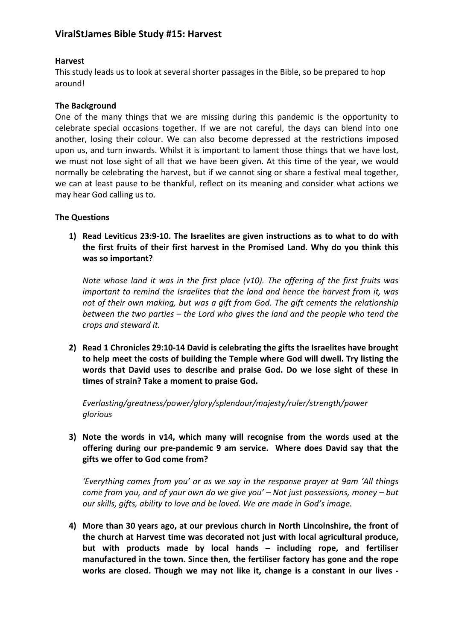# **ViralStJames Bible Study #15: Harvest**

#### **Harvest**

This study leads us to look at several shorter passages in the Bible, so be prepared to hop around!

#### **The Background**

One of the many things that we are missing during this pandemic is the opportunity to celebrate special occasions together. If we are not careful, the days can blend into one another, losing their colour. We can also become depressed at the restrictions imposed upon us, and turn inwards. Whilst it is important to lament those things that we have lost, we must not lose sight of all that we have been given. At this time of the year, we would normally be celebrating the harvest, but if we cannot sing or share a festival meal together, we can at least pause to be thankful, reflect on its meaning and consider what actions we may hear God calling us to.

### **The Questions**

**1) Read Leviticus 23:9-10. The Israelites are given instructions as to what to do with the first fruits of their first harvest in the Promised Land. Why do you think this was so important?**

*Note whose land it was in the first place (v10). The offering of the first fruits was important to remind the Israelites that the land and hence the harvest from it, was not of their own making, but was a gift from God. The gift cements the relationship between the two parties – the Lord who gives the land and the people who tend the crops and steward it.*

**2) Read 1 Chronicles 29:10-14 David is celebrating the gifts the Israelites have brought to help meet the costs of building the Temple where God will dwell. Try listing the words that David uses to describe and praise God. Do we lose sight of these in times of strain? Take a moment to praise God.**

*Everlasting/greatness/power/glory/splendour/majesty/ruler/strength/power glorious*

**3) Note the words in v14, which many will recognise from the words used at the offering during our pre-pandemic 9 am service. Where does David say that the gifts we offer to God come from?** 

*'Everything comes from you' or as we say in the response prayer at 9am 'All things come from you, and of your own do we give you' – Not just possessions, money – but our skills, gifts, ability to love and be loved. We are made in God's image.*

**4) More than 30 years ago, at our previous church in North Lincolnshire, the front of the church at Harvest time was decorated not just with local agricultural produce, but with products made by local hands – including rope, and fertiliser manufactured in the town. Since then, the fertiliser factory has gone and the rope works are closed. Though we may not like it, change is a constant in our lives -**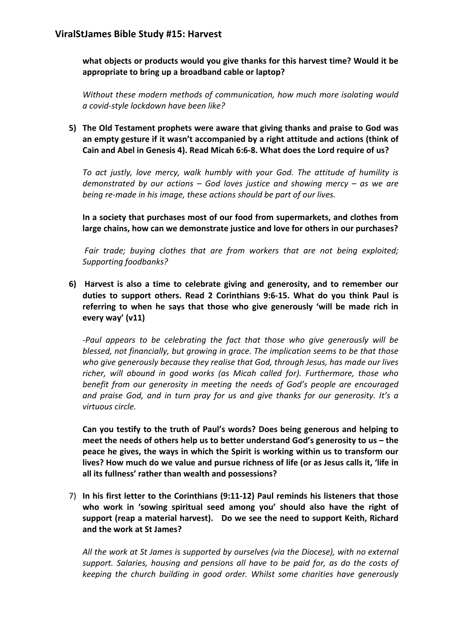**what objects or products would you give thanks for this harvest time? Would it be appropriate to bring up a broadband cable or laptop?**

*Without these modern methods of communication, how much more isolating would a covid-style lockdown have been like?*

**5) The Old Testament prophets were aware that giving thanks and praise to God was an empty gesture if it wasn't accompanied by a right attitude and actions (think of Cain and Abel in Genesis 4). Read Micah 6:6-8. What does the Lord require of us?**

*To act justly, love mercy, walk humbly with your God. The attitude of humility is demonstrated by our actions – God loves justice and showing mercy – as we are being re-made in his image, these actions should be part of our lives.* 

**In a society that purchases most of our food from supermarkets, and clothes from large chains, how can we demonstrate justice and love for others in our purchases?** 

*Fair trade; buying clothes that are from workers that are not being exploited; Supporting foodbanks?*

**6) Harvest is also a time to celebrate giving and generosity, and to remember our duties to support others. Read 2 Corinthians 9:6-15. What do you think Paul is referring to when he says that those who give generously 'will be made rich in every way' (v11)**

*-Paul appears to be celebrating the fact that those who give generously will be blessed, not financially, but growing in grace. The implication seems to be that those who give generously because they realise that God, through Jesus, has made our lives richer, will abound in good works (as Micah called for). Furthermore, those who benefit from our generosity in meeting the needs of God's people are encouraged and praise God, and in turn pray for us and give thanks for our generosity. It's a virtuous circle.* 

**Can you testify to the truth of Paul's words? Does being generous and helping to meet the needs of others help us to better understand God's generosity to us – the peace he gives, the ways in which the Spirit is working within us to transform our lives? How much do we value and pursue richness of life (or as Jesus calls it, 'life in all its fullness' rather than wealth and possessions?** 

7) **In his first letter to the Corinthians (9:11-12) Paul reminds his listeners that those who work in 'sowing spiritual seed among you' should also have the right of support (reap a material harvest). Do we see the need to support Keith, Richard and the work at St James?** 

*All the work at St James is supported by ourselves (via the Diocese), with no external support. Salaries, housing and pensions all have to be paid for, as do the costs of keeping the church building in good order. Whilst some charities have generously*